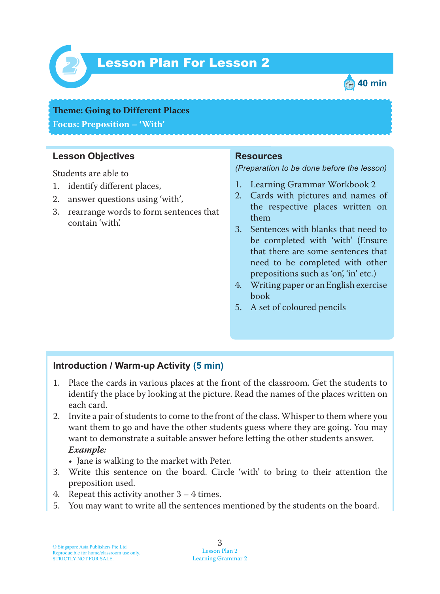

# Lesson Plan For Lesson 2 *2*



**Theme: Going to Different Places Focus: Preposition – 'With'**

## **Lesson Objectives**

Students are able to

- 1. identify different places,
- 2. answer questions using 'with',
- 3. rearrange words to form sentences that contain 'with'.

#### **Resources**

*(Preparation to be done before the lesson)*

- 1. Learning Grammar Workbook 2
- 2. Cards with pictures and names of the respective places written on them
- 3. Sentences with blanks that need to be completed with 'with' (Ensure that there are some sentences that need to be completed with other prepositions such as 'on', 'in' etc.)
- 4. Writing paper or an English exercise book
- 5. A set of coloured pencils

#### **Introduction / Warm-up Activity (5 min)**

- 1. Place the cards in various places at the front of the classroom. Get the students to identify the place by looking at the picture. Read the names of the places written on each card.
- 2. Invite a pair of students to come to the front of the class. Whisper to them where you want them to go and have the other students guess where they are going. You may want to demonstrate a suitable answer before letting the other students answer. *Example:*
	- Jane is walking to the market with Peter.
- 3. Write this sentence on the board. Circle 'with' to bring to their attention the preposition used.
- 4. Repeat this activity another 3 4 times.
- 5. You may want to write all the sentences mentioned by the students on the board.